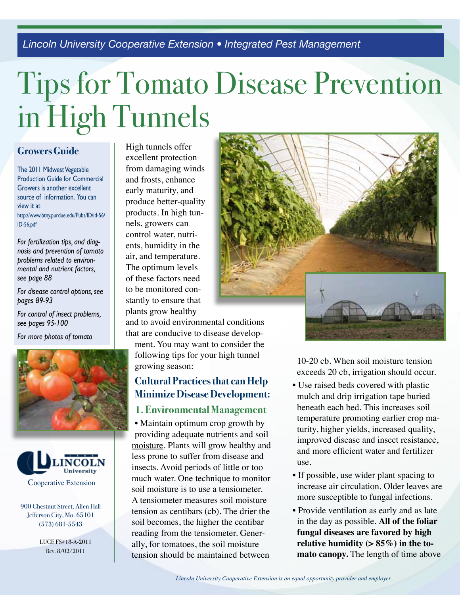*Lincoln University Cooperative Extension • Integrated Pest Management*

# Tips for Tomato Disease Prevention in High Tunnels

### **Growers Guide**

The 2011 Midwest Vegetable Production Guide for Commercial Growers is another excellent source of information. You can view it at http://www.btny.purdue.edu/Pubs/ID/id-56/ ID-56.pdf

*For fertilization tips, and diagnosis and prevention of tomato problems related to environmental and nutrient factors, see page 88*

*For disease control options, see pages 89-93*

*For control of insect problems, see pages 95-100*

*For more photos of tomato* 





900 Chestnut Street, Allen Hall Jefferson City, Mo. 65101 (573) 681-5543

> LUCE FS#18-A-2011 Rev. 8/02/2011

High tunnels offer excellent protection from damaging winds and frosts, enhance early maturity, and produce better-quality products. In high tunnels, growers can control water, nutrients, humidity in the air, and temperature. The optimum levels of these factors need to be monitored constantly to ensure that plants grow healthy

and to avoid environmental conditions that are conducive to disease develop-

ment. You may want to consider the following tips for your high tunnel growing season:

# **Cultural Practices that can Help Minimize Disease Development:**

## **1. Environmental Management**

• Maintain optimum crop growth by providing adequate nutrients and soil moisture. Plants will grow healthy and less prone to suffer from disease and insects. Avoid periods of little or too much water. One technique to monitor soil moisture is to use a tensiometer. A tensiometer measures soil moisture tension as centibars (cb). The drier the soil becomes, the higher the centibar reading from the tensiometer. Generally, for tomatoes, the soil moisture tension should be maintained between



10-20 cb. When soil moisture tension exceeds 20 cb, irrigation should occur.

- Use raised beds covered with plastic mulch and drip irrigation tape buried beneath each bed. This increases soil temperature promoting earlier crop maturity, higher yields, increased quality, improved disease and insect resistance, and more efficient water and fertilizer use.
- If possible, use wider plant spacing to increase air circulation. Older leaves are more susceptible to fungal infections.
- Provide ventilation as early and as late in the day as possible. **All of the foliar fungal diseases are favored by high relative humidity (> 85%) in the tomato canopy.** The length of time above